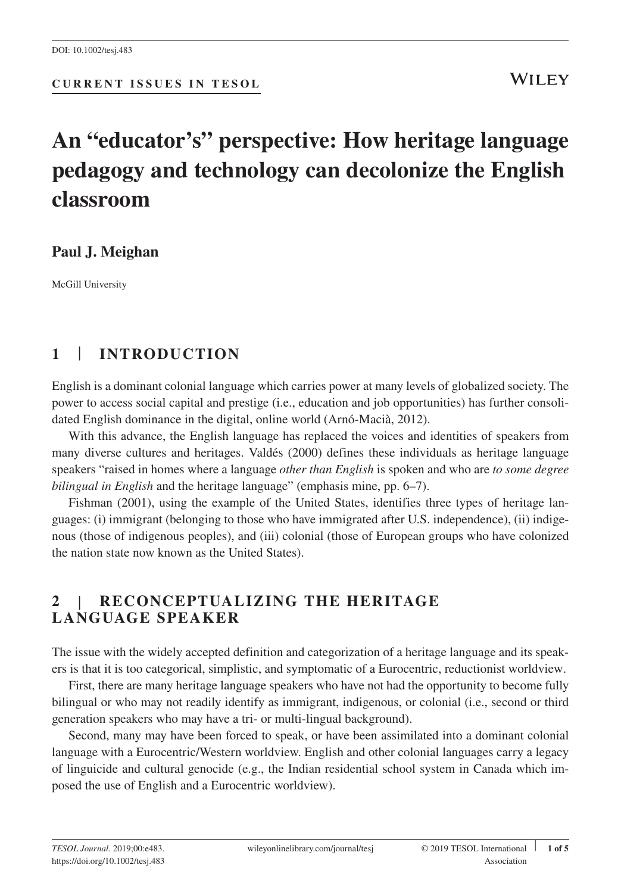**CURRENT ISSUES IN TESOL**

# **An "educator's" perspective: How heritage language pedagogy and technology can decolonize the English classroom**

## **Paul J. Meighan**

McGill University

## **1** | **INTRODUCTION**

English is a dominant colonial language which carries power at many levels of globalized society. The power to access social capital and prestige (i.e., education and job opportunities) has further consolidated English dominance in the digital, online world (Arnó‐Macià, 2012).

With this advance, the English language has replaced the voices and identities of speakers from many diverse cultures and heritages. Valdés (2000) defines these individuals as heritage language speakers "raised in homes where a language *other than English* is spoken and who are *to some degree bilingual in English* and the heritage language" (emphasis mine, pp. 6–7).

Fishman (2001), using the example of the United States, identifies three types of heritage languages: (i) immigrant (belonging to those who have immigrated after U.S. independence), (ii) indigenous (those of indigenous peoples), and (iii) colonial (those of European groups who have colonized the nation state now known as the United States).

## **2** | **RECONCEPTUALIZING THE HERITAGE LANGUAGE SPEAKER**

The issue with the widely accepted definition and categorization of a heritage language and its speakers is that it is too categorical, simplistic, and symptomatic of a Eurocentric, reductionist worldview.

First, there are many heritage language speakers who have not had the opportunity to become fully bilingual or who may not readily identify as immigrant, indigenous, or colonial (i.e., second or third generation speakers who may have a tri‐ or multi‐lingual background).

Second, many may have been forced to speak, or have been assimilated into a dominant colonial language with a Eurocentric/Western worldview. English and other colonial languages carry a legacy of linguicide and cultural genocide (e.g., the Indian residential school system in Canada which imposed the use of English and a Eurocentric worldview).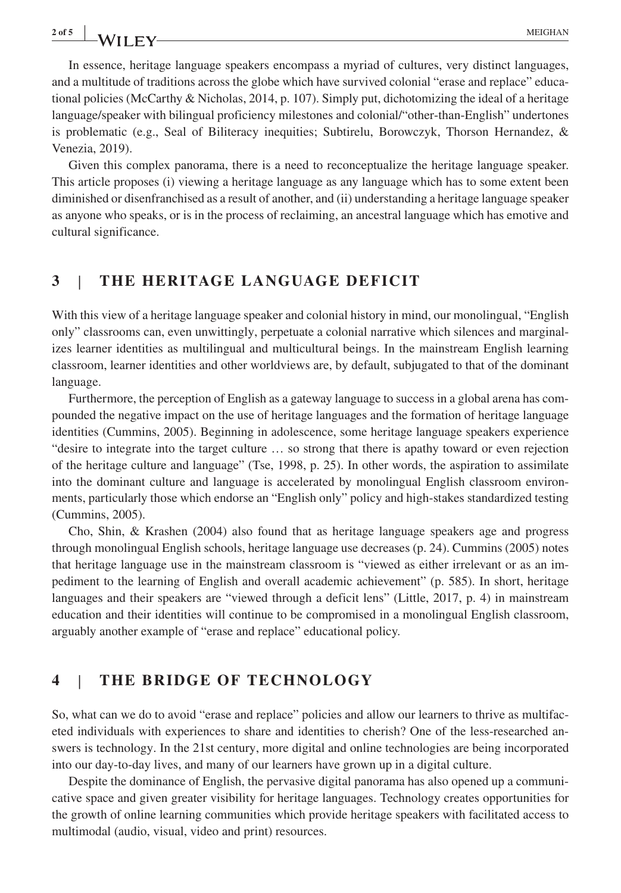In essence, heritage language speakers encompass a myriad of cultures, very distinct languages, and a multitude of traditions across the globe which have survived colonial "erase and replace" educational policies (McCarthy & Nicholas, 2014, p. 107). Simply put, dichotomizing the ideal of a heritage language/speaker with bilingual proficiency milestones and colonial/"other‐than‐English" undertones is problematic (e.g., Seal of Biliteracy inequities; Subtirelu, Borowczyk, Thorson Hernandez, & Venezia, 2019).

Given this complex panorama, there is a need to reconceptualize the heritage language speaker. This article proposes (i) viewing a heritage language as any language which has to some extent been diminished or disenfranchised as a result of another, and (ii) understanding a heritage language speaker as anyone who speaks, or is in the process of reclaiming, an ancestral language which has emotive and cultural significance.

### **3** | **THE HERITAGE LANGUAGE DEFICIT**

With this view of a heritage language speaker and colonial history in mind, our monolingual, "English only" classrooms can, even unwittingly, perpetuate a colonial narrative which silences and marginalizes learner identities as multilingual and multicultural beings. In the mainstream English learning classroom, learner identities and other worldviews are, by default, subjugated to that of the dominant language.

Furthermore, the perception of English as a gateway language to success in a global arena has compounded the negative impact on the use of heritage languages and the formation of heritage language identities (Cummins, 2005). Beginning in adolescence, some heritage language speakers experience "desire to integrate into the target culture … so strong that there is apathy toward or even rejection of the heritage culture and language" (Tse, 1998, p. 25). In other words, the aspiration to assimilate into the dominant culture and language is accelerated by monolingual English classroom environments, particularly those which endorse an "English only" policy and high‐stakes standardized testing (Cummins, 2005).

Cho, Shin, & Krashen (2004) also found that as heritage language speakers age and progress through monolingual English schools, heritage language use decreases (p. 24). Cummins (2005) notes that heritage language use in the mainstream classroom is "viewed as either irrelevant or as an impediment to the learning of English and overall academic achievement" (p. 585). In short, heritage languages and their speakers are "viewed through a deficit lens" (Little, 2017, p. 4) in mainstream education and their identities will continue to be compromised in a monolingual English classroom, arguably another example of "erase and replace" educational policy.

#### **4** | **THE BRIDGE OF TECHNOLOGY**

So, what can we do to avoid "erase and replace" policies and allow our learners to thrive as multifaceted individuals with experiences to share and identities to cherish? One of the less-researched answers is technology. In the 21st century, more digital and online technologies are being incorporated into our day‐to‐day lives, and many of our learners have grown up in a digital culture.

Despite the dominance of English, the pervasive digital panorama has also opened up a communicative space and given greater visibility for heritage languages. Technology creates opportunities for the growth of online learning communities which provide heritage speakers with facilitated access to multimodal (audio, visual, video and print) resources.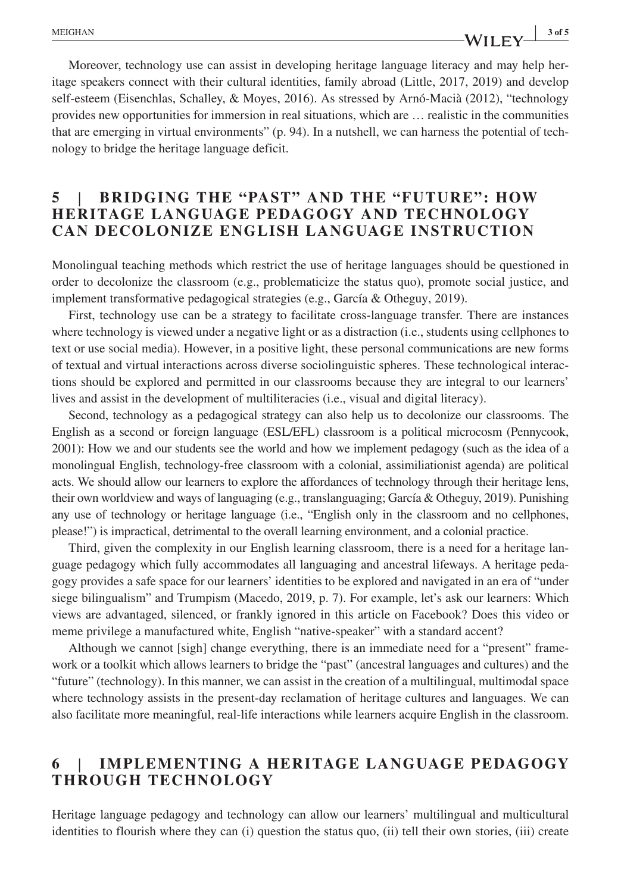Moreover, technology use can assist in developing heritage language literacy and may help heritage speakers connect with their cultural identities, family abroad (Little, 2017, 2019) and develop self‐esteem (Eisenchlas, Schalley, & Moyes, 2016). As stressed by Arnó‐Macià (2012), "technology provides new opportunities for immersion in real situations, which are … realistic in the communities that are emerging in virtual environments" (p. 94). In a nutshell, we can harness the potential of technology to bridge the heritage language deficit.

### **5** | **BRIDGING THE "PAST" AND THE "FUTURE": HOW HERITAGE LANGUAGE PEDAGOGY AND TECHNOLOGY CAN DECOLONIZE ENGLISH LANGUAGE INSTRUCTION**

Monolingual teaching methods which restrict the use of heritage languages should be questioned in order to decolonize the classroom (e.g., problematicize the status quo), promote social justice, and implement transformative pedagogical strategies (e.g., García & Otheguy, 2019).

First, technology use can be a strategy to facilitate cross-language transfer. There are instances where technology is viewed under a negative light or as a distraction (i.e., students using cellphones to text or use social media). However, in a positive light, these personal communications are new forms of textual and virtual interactions across diverse sociolinguistic spheres. These technological interactions should be explored and permitted in our classrooms because they are integral to our learners' lives and assist in the development of multiliteracies (i.e., visual and digital literacy).

Second, technology as a pedagogical strategy can also help us to decolonize our classrooms. The English as a second or foreign language (ESL/EFL) classroom is a political microcosm (Pennycook, 2001): How we and our students see the world and how we implement pedagogy (such as the idea of a monolingual English, technology‐free classroom with a colonial, assimiliationist agenda) are political acts. We should allow our learners to explore the affordances of technology through their heritage lens, their own worldview and ways of languaging (e.g., translanguaging; García & Otheguy, 2019). Punishing any use of technology or heritage language (i.e., "English only in the classroom and no cellphones, please!") is impractical, detrimental to the overall learning environment, and a colonial practice.

Third, given the complexity in our English learning classroom, there is a need for a heritage language pedagogy which fully accommodates all languaging and ancestral lifeways. A heritage pedagogy provides a safe space for our learners' identities to be explored and navigated in an era of "under siege bilingualism" and Trumpism (Macedo, 2019, p. 7). For example, let's ask our learners: Which views are advantaged, silenced, or frankly ignored in this article on Facebook? Does this video or meme privilege a manufactured white, English "native-speaker" with a standard accent?

Although we cannot [sigh] change everything, there is an immediate need for a "present" framework or a toolkit which allows learners to bridge the "past" (ancestral languages and cultures) and the "future" (technology). In this manner, we can assist in the creation of a multilingual, multimodal space where technology assists in the present-day reclamation of heritage cultures and languages. We can also facilitate more meaningful, real‐life interactions while learners acquire English in the classroom.

## **6** | **IMPLEMENTING A HERITAGE LANGUAGE PEDAGOGY THROUGH TECHNOLOGY**

Heritage language pedagogy and technology can allow our learners' multilingual and multicultural identities to flourish where they can (i) question the status quo, (ii) tell their own stories, (iii) create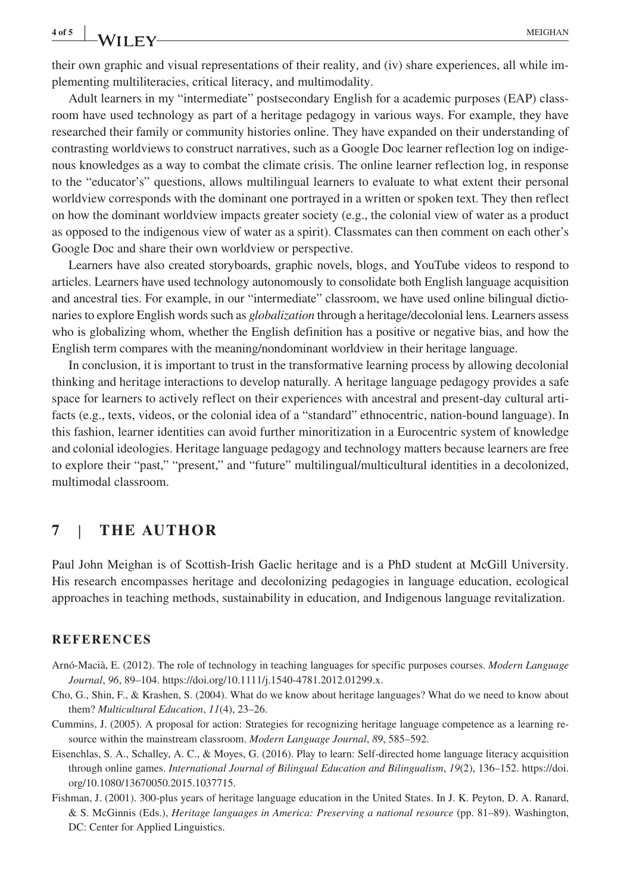**4 of 5 <sup>|</sup>** MEIGHAN

their own graphic and visual representations of their reality, and (iv) share experiences, all while implementing multiliteracies, critical literacy, and multimodality.

Adult learners in my "intermediate" postsecondary English for a academic purposes (EAP) classroom have used technology as part of a heritage pedagogy in various ways. For example, they have researched their family or community histories online. They have expanded on their understanding of contrasting worldviews to construct narratives, such as a Google Doc learner reflection log on indigenous knowledges as a way to combat the climate crisis. The online learner reflection log, in response to the "educator's" questions, allows multilingual learners to evaluate to what extent their personal worldview corresponds with the dominant one portrayed in a written or spoken text. They then reflect on how the dominant worldview impacts greater society (e.g., the colonial view of water as a product as opposed to the indigenous view of water as a spirit). Classmates can then comment on each other's Google Doc and share their own worldview or perspective.

Learners have also created storyboards, graphic novels, blogs, and YouTube videos to respond to articles. Learners have used technology autonomously to consolidate both English language acquisition and ancestral ties. For example, in our "intermediate" classroom, we have used online bilingual dictionaries to explore English words such as *globalization* through a heritage/decolonial lens. Learners assess who is globalizing whom, whether the English definition has a positive or negative bias, and how the English term compares with the meaning/nondominant worldview in their heritage language.

In conclusion, it is important to trust in the transformative learning process by allowing decolonial thinking and heritage interactions to develop naturally. A heritage language pedagogy provides a safe space for learners to actively reflect on their experiences with ancestral and present-day cultural artifacts (e.g., texts, videos, or the colonial idea of a "standard" ethnocentric, nation-bound language). In this fashion, learner identities can avoid further minoritization in a Eurocentric system of knowledge and colonial ideologies. Heritage language pedagogy and technology matters because learners are free to explore their "past," "present," and "future" multilingual/multicultural identities in a decolonized, multimodal classroom.

#### **7** | **THE AUTHOR**

Paul John Meighan is of Scottish‐Irish Gaelic heritage and is a PhD student at McGill University. His research encompasses heritage and decolonizing pedagogies in language education, ecological approaches in teaching methods, sustainability in education, and Indigenous language revitalization.

#### **REFERENCES**

- Arnó‐Macià, E. (2012). The role of technology in teaching languages for specific purposes courses. *Modern Language Journal*, *96*, 89–104. <https://doi.org/10.1111/j.1540-4781.2012.01299.x>.
- Cho, G., Shin, F., & Krashen, S. (2004). What do we know about heritage languages? What do we need to know about them? *Multicultural Education*, *11*(4), 23–26.
- Cummins, J. (2005). A proposal for action: Strategies for recognizing heritage language competence as a learning resource within the mainstream classroom. *Modern Language Journal*, *89*, 585–592.
- Eisenchlas, S. A., Schalley, A. C., & Moyes, G. (2016). Play to learn: Self‐directed home language literacy acquisition through online games. *International Journal of Bilingual Education and Bilingualism*, *19*(2), 136–152. [https://doi.](https://doi.org/10.1080/13670050.2015.1037715) [org/10.1080/13670050.2015.1037715](https://doi.org/10.1080/13670050.2015.1037715).
- Fishman, J. (2001). 300‐plus years of heritage language education in the United States. In J. K. Peyton, D. A. Ranard, & S. McGinnis (Eds.), *Heritage languages in America: Preserving a national resource* (pp. 81–89). Washington, DC: Center for Applied Linguistics.